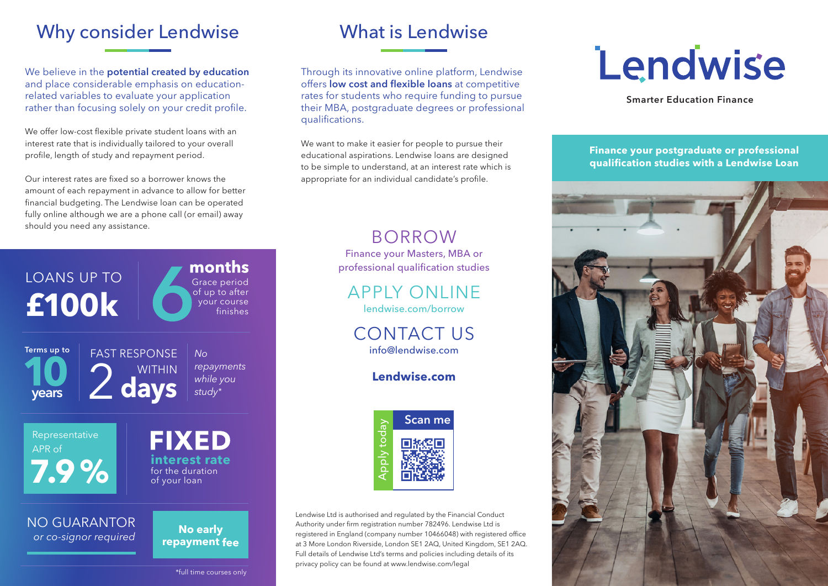# Why consider Lendwise

We believe in the **potential created by education** and place considerable emphasis on educationrelated variables to evaluate your application rather than focusing solely on your credit profile.

We offer low-cost flexible private student loans with an interest rate that is individually tailored to your overall profile, length of study and repayment period.

Our interest rates are fixed so a borrower knows the amount of each repayment in advance to allow for better financial budgeting. The Lendwise loan can be operated fully online although we are a phone call (or email) away should you need any assistance.



# What is Lendwise

Through its innovative online platform, Lendwise offers **low cost and flexible loans** at competitive rates for students who require funding to pursue their MBA, postgraduate degrees or professional qualifications.

We want to make it easier for people to pursue their educational aspirations. Lendwise loans are designed to be simple to understand, at an interest rate which is appropriate for an individual candidate's profile.

## BORROW

Finance your Masters, MBA or professional qualification studies

# APPLY ONLINE

lendwise.com/borrow

CONTACT US info@lendwise.com

#### **Lendwise.com**



Lendwise Ltd is authorised and regulated by the Financial Conduct Authority under firm registration number 782496. Lendwise Ltd is registered in England (company number 10466048) with registered office at 3 More London Riverside, London SE1 2AQ, United Kingdom, SE1 2AQ. Full details of Lendwise Ltd's terms and policies including details of its privacy policy can be found at www.lendwise.com/legal

# Lendwise

**Smarter Education Finance**

**Finance your postgraduate or professional qualification studies with a Lendwise Loan**